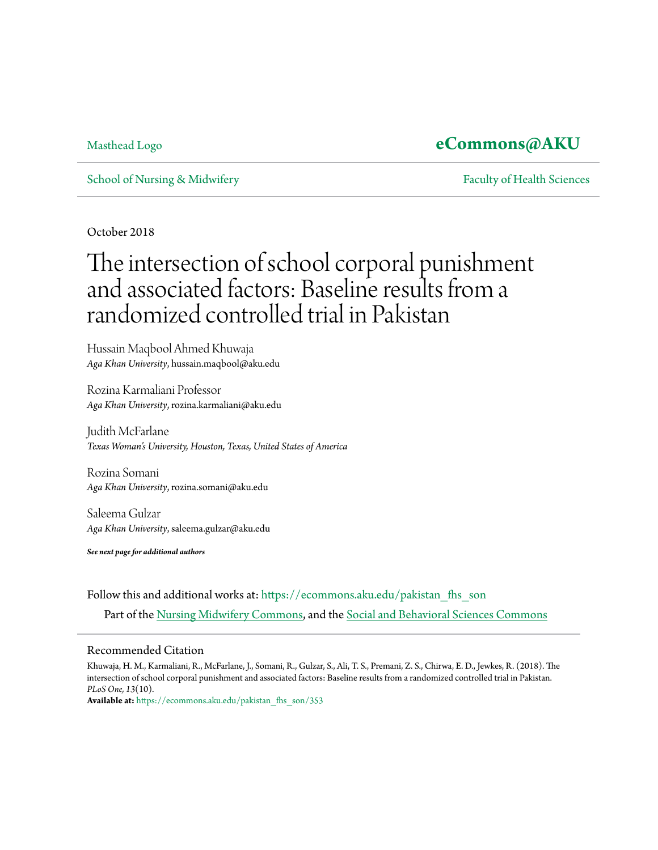# [Masthead Logo](http://www.aku.edu/Pages/home.aspx?utm_source=ecommons.aku.edu%2Fpakistan_fhs_son%2F353&utm_medium=PDF&utm_campaign=PDFCoverPages) **[eCommons@AKU](https://ecommons.aku.edu?utm_source=ecommons.aku.edu%2Fpakistan_fhs_son%2F353&utm_medium=PDF&utm_campaign=PDFCoverPages)**

[School of Nursing & Midwifery](https://ecommons.aku.edu/pakistan_fhs_son?utm_source=ecommons.aku.edu%2Fpakistan_fhs_son%2F353&utm_medium=PDF&utm_campaign=PDFCoverPages) **[Faculty of Health Sciences](https://ecommons.aku.edu/pakistan_fhs?utm_source=ecommons.aku.edu%2Fpakistan_fhs_son%2F353&utm_medium=PDF&utm_campaign=PDFCoverPages)** Faculty of Health Sciences

October 2018

# The intersection of school corporal punishment and associated factors: Baseline results from a randomized controlled trial in Pakistan

Hussain Maqbool Ahmed Khuwaja *Aga Khan University*, hussain.maqbool@aku.edu

Rozina Karmaliani Professor *Aga Khan University*, rozina.karmaliani@aku.edu

Judith McFarlane *Texas Woman's University, Houston, Texas, United States of America*

Rozina Somani *Aga Khan University*, rozina.somani@aku.edu

Saleema Gulzar *Aga Khan University*, saleema.gulzar@aku.edu

*See next page for additional authors*

Follow this and additional works at: [https://ecommons.aku.edu/pakistan\\_fhs\\_son](https://ecommons.aku.edu/pakistan_fhs_son?utm_source=ecommons.aku.edu%2Fpakistan_fhs_son%2F353&utm_medium=PDF&utm_campaign=PDFCoverPages) Part of the [Nursing Midwifery Commons,](http://network.bepress.com/hgg/discipline/722?utm_source=ecommons.aku.edu%2Fpakistan_fhs_son%2F353&utm_medium=PDF&utm_campaign=PDFCoverPages) and the [Social and Behavioral Sciences Commons](http://network.bepress.com/hgg/discipline/316?utm_source=ecommons.aku.edu%2Fpakistan_fhs_son%2F353&utm_medium=PDF&utm_campaign=PDFCoverPages)

#### Recommended Citation

Khuwaja, H. M., Karmaliani, R., McFarlane, J., Somani, R., Gulzar, S., Ali, T. S., Premani, Z. S., Chirwa, E. D., Jewkes, R. (2018). The intersection of school corporal punishment and associated factors: Baseline results from a randomized controlled trial in Pakistan. *PLoS One, 13*(10).

**Available at:** [https://ecommons.aku.edu/pakistan\\_fhs\\_son/353](https://ecommons.aku.edu/pakistan_fhs_son/353)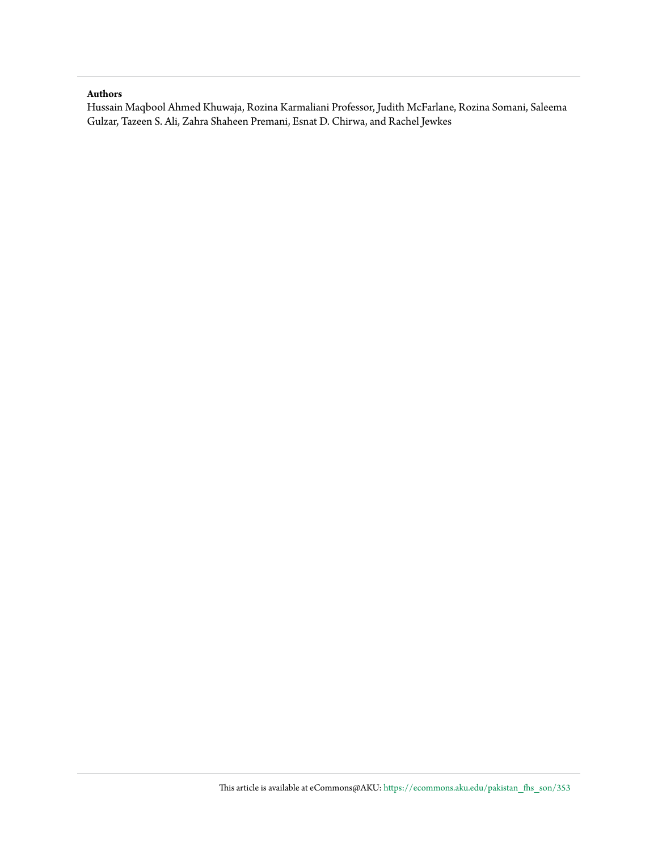#### **Authors**

Hussain Maqbool Ahmed Khuwaja, Rozina Karmaliani Professor, Judith McFarlane, Rozina Somani, Saleema Gulzar, Tazeen S. Ali, Zahra Shaheen Premani, Esnat D. Chirwa, and Rachel Jewkes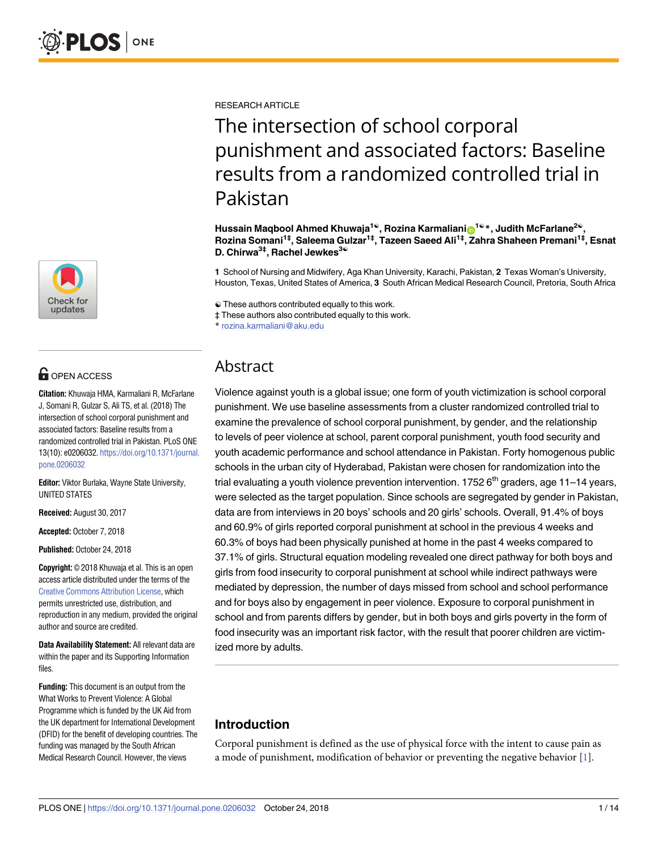

# **OPEN ACCESS**

**Citation:** Khuwaja HMA, Karmaliani R, McFarlane J, Somani R, Gulzar S, Ali TS, et al. (2018) The intersection of school corporal punishment and associated factors: Baseline results from a randomized controlled trial in Pakistan. PLoS ONE 13(10): e0206032. [https://doi.org/10.1371/journal.](https://doi.org/10.1371/journal.pone.0206032) [pone.0206032](https://doi.org/10.1371/journal.pone.0206032)

**Editor:** Viktor Burlaka, Wayne State University, UNITED STATES

**Received:** August 30, 2017

**Accepted:** October 7, 2018

**Published:** October 24, 2018

**Copyright:** © 2018 Khuwaja et al. This is an open access article distributed under the terms of the Creative Commons [Attribution](http://creativecommons.org/licenses/by/4.0/) License, which permits unrestricted use, distribution, and reproduction in any medium, provided the original author and source are credited.

**Data Availability Statement:** All relevant data are within the paper and its Supporting Information files.

**Funding:** This document is an output from the What Works to Prevent Violence: A Global Programme which is funded by the UK Aid from the UK department for International Development (DFID) for the benefit of developing countries. The funding was managed by the South African Medical Research Council. However, the views

<span id="page-2-0"></span>RESEARCH ARTICLE

# The intersection of school corporal punishment and associated factors: Baseline results from a randomized controlled trial in Pakistan

 $H$ ussain Maqbool Ahmed Khuwaja<sup>1©</sup>, Rozina Karmalianin<sup>1©</sup> \*, Judith McFarlane<sup>2©</sup>, **Rozina Somani1‡, Saleema Gulzar1‡, Tazeen Saeed Ali1‡, Zahra Shaheen Premani1‡, Esnat D. Chirwa3‡, Rachel Jewkes3**☯

**1** School of Nursing and Midwifery, Aga Khan University, Karachi, Pakistan, **2** Texas Woman's University, Houston, Texas, United States of America, **3** South African Medical Research Council, Pretoria, South Africa

☯ These authors contributed equally to this work.

‡ These authors also contributed equally to this work.

\* rozina.karmaliani@aku.edu

# Abstract

Violence against youth is a global issue; one form of youth victimization is school corporal punishment. We use baseline assessments from a cluster randomized controlled trial to examine the prevalence of school corporal punishment, by gender, and the relationship to levels of peer violence at school, parent corporal punishment, youth food security and youth academic performance and school attendance in Pakistan. Forty homogenous public schools in the urban city of Hyderabad, Pakistan were chosen for randomization into the trial evaluating a youth violence prevention intervention. 1752  $6<sup>th</sup>$  graders, age 11–14 years, were selected as the target population. Since schools are segregated by gender in Pakistan, data are from interviews in 20 boys' schools and 20 girls' schools. Overall, 91.4% of boys and 60.9% of girls reported corporal punishment at school in the previous 4 weeks and 60.3% of boys had been physically punished at home in the past 4 weeks compared to 37.1% of girls. Structural equation modeling revealed one direct pathway for both boys and girls from food insecurity to corporal punishment at school while indirect pathways were mediated by depression, the number of days missed from school and school performance and for boys also by engagement in peer violence. Exposure to corporal punishment in school and from parents differs by gender, but in both boys and girls poverty in the form of food insecurity was an important risk factor, with the result that poorer children are victimized more by adults.

## **Introduction**

Corporal punishment is defined as the use of physical force with the intent to cause pain as a mode of punishment, modification of behavior or preventing the negative behavior [\[1](#page-14-0)].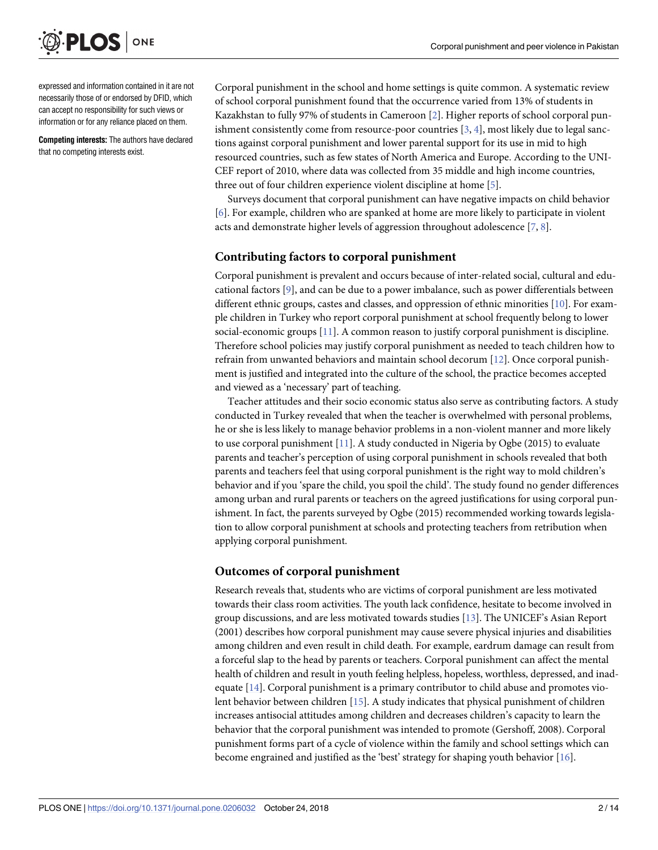<span id="page-3-0"></span>

expressed and information contained in it are not necessarily those of or endorsed by DFID, which can accept no responsibility for such views or information or for any reliance placed on them.

**Competing interests:** The authors have declared that no competing interests exist.

Corporal punishment in the school and home settings is quite common. A systematic review of school corporal punishment found that the occurrence varied from 13% of students in Kazakhstan to fully 97% of students in Cameroon [\[2](#page-14-0)]. Higher reports of school corporal punishment consistently come from resource-poor countries  $[3, 4]$  $[3, 4]$  $[3, 4]$  $[3, 4]$ , most likely due to legal sanctions against corporal punishment and lower parental support for its use in mid to high resourced countries, such as few states of North America and Europe. According to the UNI-CEF report of 2010, where data was collected from 35 middle and high income countries, three out of four children experience violent discipline at home [\[5](#page-14-0)].

Surveys document that corporal punishment can have negative impacts on child behavior [\[6](#page-14-0)]. For example, children who are spanked at home are more likely to participate in violent acts and demonstrate higher levels of aggression throughout adolescence [[7,](#page-14-0) [8\]](#page-14-0).

#### **Contributing factors to corporal punishment**

Corporal punishment is prevalent and occurs because of inter-related social, cultural and educational factors [\[9\]](#page-14-0), and can be due to a power imbalance, such as power differentials between different ethnic groups, castes and classes, and oppression of ethnic minorities [\[10\]](#page-14-0). For example children in Turkey who report corporal punishment at school frequently belong to lower social-economic groups [\[11\]](#page-14-0). A common reason to justify corporal punishment is discipline. Therefore school policies may justify corporal punishment as needed to teach children how to refrain from unwanted behaviors and maintain school decorum [\[12\]](#page-14-0). Once corporal punishment is justified and integrated into the culture of the school, the practice becomes accepted and viewed as a 'necessary' part of teaching.

Teacher attitudes and their socio economic status also serve as contributing factors. A study conducted in Turkey revealed that when the teacher is overwhelmed with personal problems, he or she is less likely to manage behavior problems in a non-violent manner and more likely to use corporal punishment [[11](#page-14-0)]. A study conducted in Nigeria by Ogbe (2015) to evaluate parents and teacher's perception of using corporal punishment in schools revealed that both parents and teachers feel that using corporal punishment is the right way to mold children's behavior and if you 'spare the child, you spoil the child'. The study found no gender differences among urban and rural parents or teachers on the agreed justifications for using corporal punishment. In fact, the parents surveyed by Ogbe (2015) recommended working towards legislation to allow corporal punishment at schools and protecting teachers from retribution when applying corporal punishment.

#### **Outcomes of corporal punishment**

Research reveals that, students who are victims of corporal punishment are less motivated towards their class room activities. The youth lack confidence, hesitate to become involved in group discussions, and are less motivated towards studies [\[13\]](#page-14-0). The UNICEF's Asian Report (2001) describes how corporal punishment may cause severe physical injuries and disabilities among children and even result in child death. For example, eardrum damage can result from a forceful slap to the head by parents or teachers. Corporal punishment can affect the mental health of children and result in youth feeling helpless, hopeless, worthless, depressed, and inadequate [[14](#page-14-0)]. Corporal punishment is a primary contributor to child abuse and promotes violent behavior between children [[15](#page-14-0)]. A study indicates that physical punishment of children increases antisocial attitudes among children and decreases children's capacity to learn the behavior that the corporal punishment was intended to promote (Gershoff, 2008). Corporal punishment forms part of a cycle of violence within the family and school settings which can become engrained and justified as the 'best' strategy for shaping youth behavior [[16](#page-14-0)].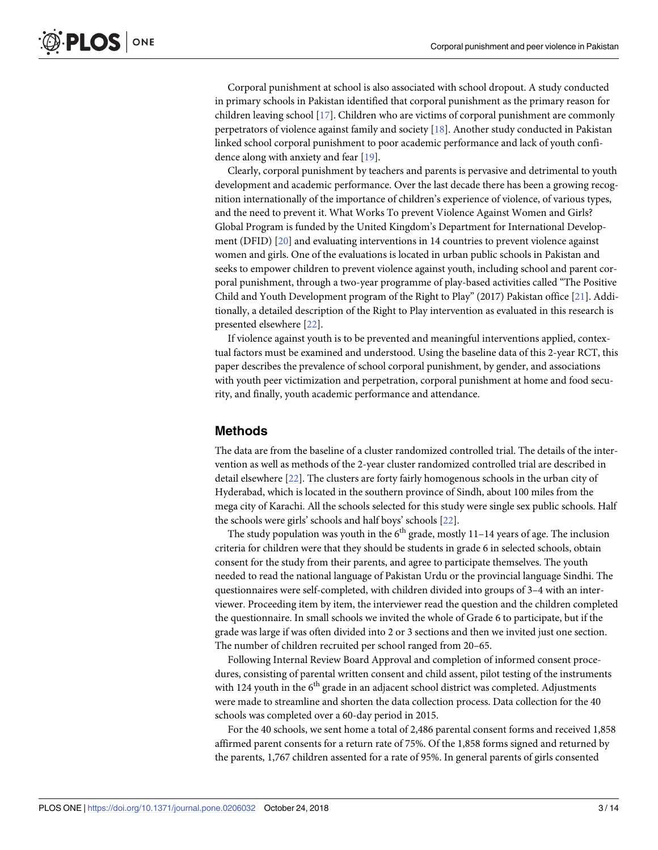<span id="page-4-0"></span>Corporal punishment at school is also associated with school dropout. A study conducted in primary schools in Pakistan identified that corporal punishment as the primary reason for children leaving school [\[17\]](#page-14-0). Children who are victims of corporal punishment are commonly perpetrators of violence against family and society [\[18\]](#page-14-0). Another study conducted in Pakistan linked school corporal punishment to poor academic performance and lack of youth confidence along with anxiety and fear [\[19\]](#page-14-0).

Clearly, corporal punishment by teachers and parents is pervasive and detrimental to youth development and academic performance. Over the last decade there has been a growing recognition internationally of the importance of children's experience of violence, of various types, and the need to prevent it. What Works To prevent Violence Against Women and Girls? Global Program is funded by the United Kingdom's Department for International Development (DFID) [[20](#page-14-0)] and evaluating interventions in 14 countries to prevent violence against women and girls. One of the evaluations is located in urban public schools in Pakistan and seeks to empower children to prevent violence against youth, including school and parent corporal punishment, through a two-year programme of play-based activities called "The Positive Child and Youth Development program of the Right to Play" (2017) Pakistan office [\[21\]](#page-14-0). Additionally, a detailed description of the Right to Play intervention as evaluated in this research is presented elsewhere [[22](#page-14-0)].

If violence against youth is to be prevented and meaningful interventions applied, contextual factors must be examined and understood. Using the baseline data of this 2-year RCT, this paper describes the prevalence of school corporal punishment, by gender, and associations with youth peer victimization and perpetration, corporal punishment at home and food security, and finally, youth academic performance and attendance.

### **Methods**

The data are from the baseline of a cluster randomized controlled trial. The details of the intervention as well as methods of the 2-year cluster randomized controlled trial are described in detail elsewhere [[22](#page-14-0)]. The clusters are forty fairly homogenous schools in the urban city of Hyderabad, which is located in the southern province of Sindh, about 100 miles from the mega city of Karachi. All the schools selected for this study were single sex public schools. Half the schools were girls' schools and half boys' schools [\[22\]](#page-14-0).

The study population was youth in the  $6<sup>th</sup>$  grade, mostly 11–14 years of age. The inclusion criteria for children were that they should be students in grade 6 in selected schools, obtain consent for the study from their parents, and agree to participate themselves. The youth needed to read the national language of Pakistan Urdu or the provincial language Sindhi. The questionnaires were self-completed, with children divided into groups of 3–4 with an interviewer. Proceeding item by item, the interviewer read the question and the children completed the questionnaire. In small schools we invited the whole of Grade 6 to participate, but if the grade was large if was often divided into 2 or 3 sections and then we invited just one section. The number of children recruited per school ranged from 20–65.

Following Internal Review Board Approval and completion of informed consent procedures, consisting of parental written consent and child assent, pilot testing of the instruments with 124 youth in the  $6<sup>th</sup>$  grade in an adjacent school district was completed. Adjustments were made to streamline and shorten the data collection process. Data collection for the 40 schools was completed over a 60-day period in 2015.

For the 40 schools, we sent home a total of 2,486 parental consent forms and received 1,858 affirmed parent consents for a return rate of 75%. Of the 1,858 forms signed and returned by the parents, 1,767 children assented for a rate of 95%. In general parents of girls consented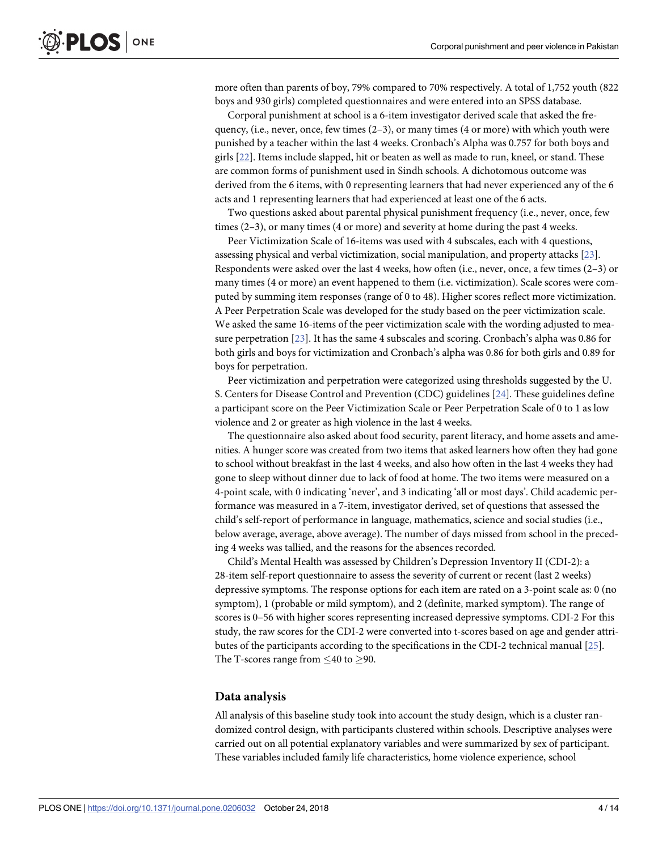<span id="page-5-0"></span>more often than parents of boy, 79% compared to 70% respectively. A total of 1,752 youth (822 boys and 930 girls) completed questionnaires and were entered into an SPSS database.

Corporal punishment at school is a 6-item investigator derived scale that asked the frequency, (i.e., never, once, few times (2–3), or many times (4 or more) with which youth were punished by a teacher within the last 4 weeks. Cronbach's Alpha was 0.757 for both boys and girls [[22](#page-14-0)]. Items include slapped, hit or beaten as well as made to run, kneel, or stand. These are common forms of punishment used in Sindh schools. A dichotomous outcome was derived from the 6 items, with 0 representing learners that had never experienced any of the 6 acts and 1 representing learners that had experienced at least one of the 6 acts.

Two questions asked about parental physical punishment frequency (i.e., never, once, few times (2–3), or many times (4 or more) and severity at home during the past 4 weeks.

Peer Victimization Scale of 16-items was used with 4 subscales, each with 4 questions, assessing physical and verbal victimization, social manipulation, and property attacks [[23](#page-14-0)]. Respondents were asked over the last 4 weeks, how often (i.e., never, once, a few times (2–3) or many times (4 or more) an event happened to them (i.e. victimization). Scale scores were computed by summing item responses (range of 0 to 48). Higher scores reflect more victimization. A Peer Perpetration Scale was developed for the study based on the peer victimization scale. We asked the same 16-items of the peer victimization scale with the wording adjusted to measure perpetration [\[23\]](#page-14-0). It has the same 4 subscales and scoring. Cronbach's alpha was 0.86 for both girls and boys for victimization and Cronbach's alpha was 0.86 for both girls and 0.89 for boys for perpetration.

Peer victimization and perpetration were categorized using thresholds suggested by the U. S. Centers for Disease Control and Prevention (CDC) guidelines [\[24\]](#page-14-0). These guidelines define a participant score on the Peer Victimization Scale or Peer Perpetration Scale of 0 to 1 as low violence and 2 or greater as high violence in the last 4 weeks.

The questionnaire also asked about food security, parent literacy, and home assets and amenities. A hunger score was created from two items that asked learners how often they had gone to school without breakfast in the last 4 weeks, and also how often in the last 4 weeks they had gone to sleep without dinner due to lack of food at home. The two items were measured on a 4-point scale, with 0 indicating 'never', and 3 indicating 'all or most days'. Child academic performance was measured in a 7-item, investigator derived, set of questions that assessed the child's self-report of performance in language, mathematics, science and social studies (i.e., below average, average, above average). The number of days missed from school in the preceding 4 weeks was tallied, and the reasons for the absences recorded.

Child's Mental Health was assessed by Children's Depression Inventory II (CDI-2): a 28-item self-report questionnaire to assess the severity of current or recent (last 2 weeks) depressive symptoms. The response options for each item are rated on a 3-point scale as: 0 (no symptom), 1 (probable or mild symptom), and 2 (definite, marked symptom). The range of scores is 0–56 with higher scores representing increased depressive symptoms. CDI-2 For this study, the raw scores for the CDI-2 were converted into t-scores based on age and gender attributes of the participants according to the specifications in the CDI-2 technical manual [\[25\]](#page-14-0). The T-scores range from  $\leq 40$  to  $\geq 90$ .

#### **Data analysis**

All analysis of this baseline study took into account the study design, which is a cluster randomized control design, with participants clustered within schools. Descriptive analyses were carried out on all potential explanatory variables and were summarized by sex of participant. These variables included family life characteristics, home violence experience, school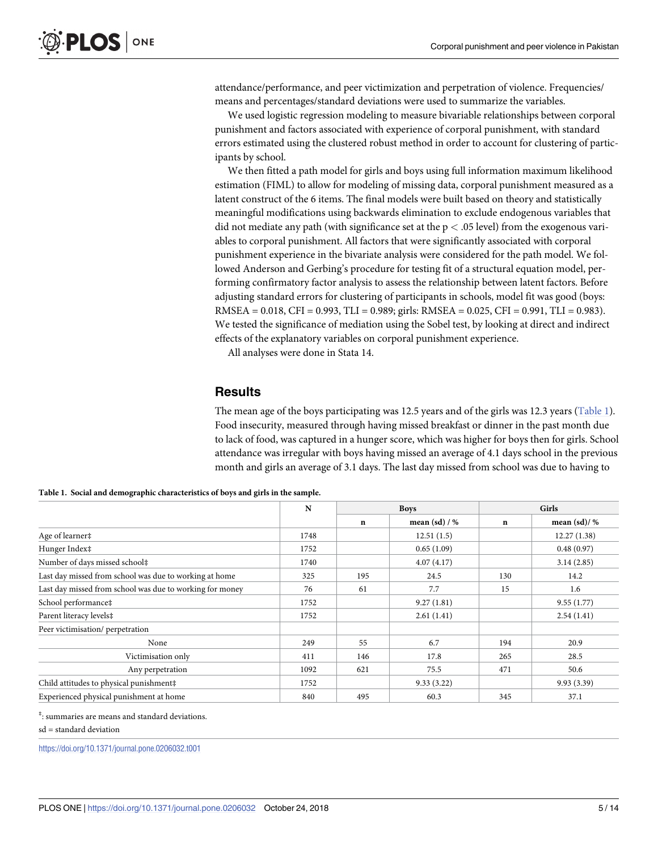attendance/performance, and peer victimization and perpetration of violence. Frequencies/ means and percentages/standard deviations were used to summarize the variables.

We used logistic regression modeling to measure bivariable relationships between corporal punishment and factors associated with experience of corporal punishment, with standard errors estimated using the clustered robust method in order to account for clustering of participants by school.

We then fitted a path model for girls and boys using full information maximum likelihood estimation (FIML) to allow for modeling of missing data, corporal punishment measured as a latent construct of the 6 items. The final models were built based on theory and statistically meaningful modifications using backwards elimination to exclude endogenous variables that did not mediate any path (with significance set at the  $p < .05$  level) from the exogenous variables to corporal punishment. All factors that were significantly associated with corporal punishment experience in the bivariate analysis were considered for the path model. We followed Anderson and Gerbing's procedure for testing fit of a structural equation model, performing confirmatory factor analysis to assess the relationship between latent factors. Before adjusting standard errors for clustering of participants in schools, model fit was good (boys: RMSEA = 0.018, CFI = 0.993, TLI = 0.989; girls: RMSEA = 0.025, CFI = 0.991, TLI = 0.983). We tested the significance of mediation using the Sobel test, by looking at direct and indirect effects of the explanatory variables on corporal punishment experience.

All analyses were done in Stata 14.

### **Results**

The mean age of the boys participating was 12.5 years and of the girls was 12.3 years (Table 1). Food insecurity, measured through having missed breakfast or dinner in the past month due to lack of food, was captured in a hunger score, which was higher for boys then for girls. School attendance was irregular with boys having missed an average of 4.1 days school in the previous month and girls an average of 3.1 days. The last day missed from school was due to having to

|                                                          | N    |             | Girls           |             |               |  |
|----------------------------------------------------------|------|-------------|-----------------|-------------|---------------|--|
|                                                          |      | $\mathbf n$ | mean $(sd) / %$ | $\mathbf n$ | mean $(sd)/%$ |  |
| Age of learner‡                                          | 1748 |             | 12.51(1.5)      |             | 12.27(1.38)   |  |
| Hunger Index‡                                            | 1752 |             | 0.65(1.09)      |             | 0.48(0.97)    |  |
| Number of days missed school‡                            | 1740 |             | 4.07(4.17)      |             | 3.14(2.85)    |  |
| Last day missed from school was due to working at home   | 325  | 195         | 24.5            | 130         | 14.2          |  |
| Last day missed from school was due to working for money | 76   | 61          | 7.7             | 15          | 1.6           |  |
| School performance‡                                      | 1752 |             | 9.27(1.81)      |             | 9.55(1.77)    |  |
| Parent literacy levels‡                                  | 1752 |             | 2.61(1.41)      |             | 2.54(1.41)    |  |
| Peer victimisation/ perpetration                         |      |             |                 |             |               |  |
| None                                                     | 249  | 55          | 6.7             | 194         | 20.9          |  |
| Victimisation only                                       | 411  | 146         | 17.8            | 265         | 28.5          |  |
| Any perpetration                                         | 1092 | 621         | 75.5            | 471         | 50.6          |  |
| Child attitudes to physical punishment‡                  | 1752 |             | 9.33(3.22)      |             | 9.93(3.39)    |  |
| Experienced physical punishment at home                  | 840  | 495         | 60.3            | 345         | 37.1          |  |

|  |  | Table 1. Social and demographic characteristics of boys and girls in the sample. |
|--|--|----------------------------------------------------------------------------------|
|  |  |                                                                                  |

‡ : summaries are means and standard deviations.

sd = standard deviation

<https://doi.org/10.1371/journal.pone.0206032.t001>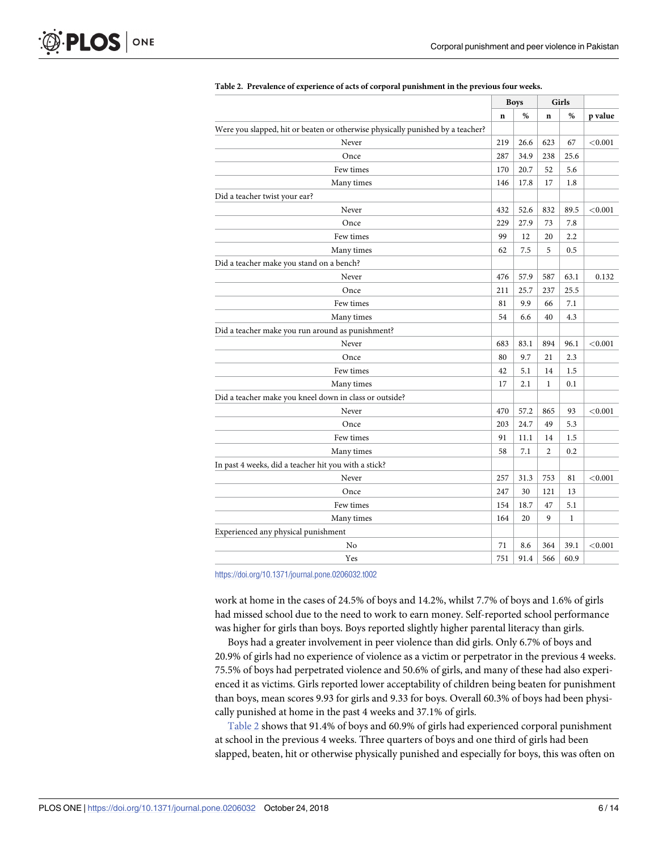|                                                                                |             | <b>Boys</b> |                | Girls        |         |
|--------------------------------------------------------------------------------|-------------|-------------|----------------|--------------|---------|
|                                                                                | $\mathbf n$ | %           | $\mathbf{n}$   | $\%$         | p value |
| Were you slapped, hit or beaten or otherwise physically punished by a teacher? |             |             |                |              |         |
| Never                                                                          | 219         | 26.6        | 623            | 67           | < 0.001 |
| Once                                                                           | 287         | 34.9        | 238            | 25.6         |         |
| Few times                                                                      | 170         | 20.7        | 52             | 5.6          |         |
| Many times                                                                     | 146         | 17.8        | 17             | 1.8          |         |
| Did a teacher twist your ear?                                                  |             |             |                |              |         |
| Never                                                                          | 432         | 52.6        | 832            | 89.5         | < 0.001 |
| Once                                                                           | 229         | 27.9        | 73             | 7.8          |         |
| Few times                                                                      | 99          | 12          | 20             | 2.2          |         |
| Many times                                                                     | 62          | 7.5         | 5              | 0.5          |         |
| Did a teacher make you stand on a bench?                                       |             |             |                |              |         |
| Never                                                                          | 476         | 57.9        | 587            | 63.1         | 0.132   |
| Once                                                                           | 211         | 25.7        | 237            | 25.5         |         |
| Few times                                                                      | 81          | 9.9         | 66             | 7.1          |         |
| Many times                                                                     | 54          | 6.6         | 40             | 4.3          |         |
| Did a teacher make you run around as punishment?                               |             |             |                |              |         |
| Never                                                                          | 683         | 83.1        | 894            | 96.1         | < 0.001 |
| Once                                                                           | 80          | 9.7         | 21             | 2.3          |         |
| Few times                                                                      | 42          | 5.1         | 14             | 1.5          |         |
| Many times                                                                     | 17          | 2.1         | $\mathbf 1$    | 0.1          |         |
| Did a teacher make you kneel down in class or outside?                         |             |             |                |              |         |
| Never                                                                          | 470         | 57.2        | 865            | 93           | < 0.001 |
| Once                                                                           | 203         | 24.7        | 49             | 5.3          |         |
| Few times                                                                      | 91          | 11.1        | 14             | 1.5          |         |
| Many times                                                                     | 58          | 7.1         | $\overline{c}$ | 0.2          |         |
| In past 4 weeks, did a teacher hit you with a stick?                           |             |             |                |              |         |
| Never                                                                          | 257         | 31.3        | 753            | 81           | < 0.001 |
| Once                                                                           | 247         | 30          | 121            | 13           |         |
| Few times                                                                      | 154         | 18.7        | 47             | 5.1          |         |
| Many times                                                                     | 164         | 20          | 9              | $\mathbf{1}$ |         |
| Experienced any physical punishment                                            |             |             |                |              |         |
| No                                                                             | 71          | 8.6         | 364            | 39.1         | < 0.001 |
| Yes                                                                            | 751         | 91.4        | 566            | 60.9         |         |

#### **Table 2. Prevalence of experience of acts of corporal punishment in the previous four weeks.**

<https://doi.org/10.1371/journal.pone.0206032.t002>

work at home in the cases of 24.5% of boys and 14.2%, whilst 7.7% of boys and 1.6% of girls had missed school due to the need to work to earn money. Self-reported school performance was higher for girls than boys. Boys reported slightly higher parental literacy than girls.

Boys had a greater involvement in peer violence than did girls. Only 6.7% of boys and 20.9% of girls had no experience of violence as a victim or perpetrator in the previous 4 weeks. 75.5% of boys had perpetrated violence and 50.6% of girls, and many of these had also experienced it as victims. Girls reported lower acceptability of children being beaten for punishment than boys, mean scores 9.93 for girls and 9.33 for boys. Overall 60.3% of boys had been physically punished at home in the past 4 weeks and 37.1% of girls.

Table 2 shows that 91.4% of boys and 60.9% of girls had experienced corporal punishment at school in the previous 4 weeks. Three quarters of boys and one third of girls had been slapped, beaten, hit or otherwise physically punished and especially for boys, this was often on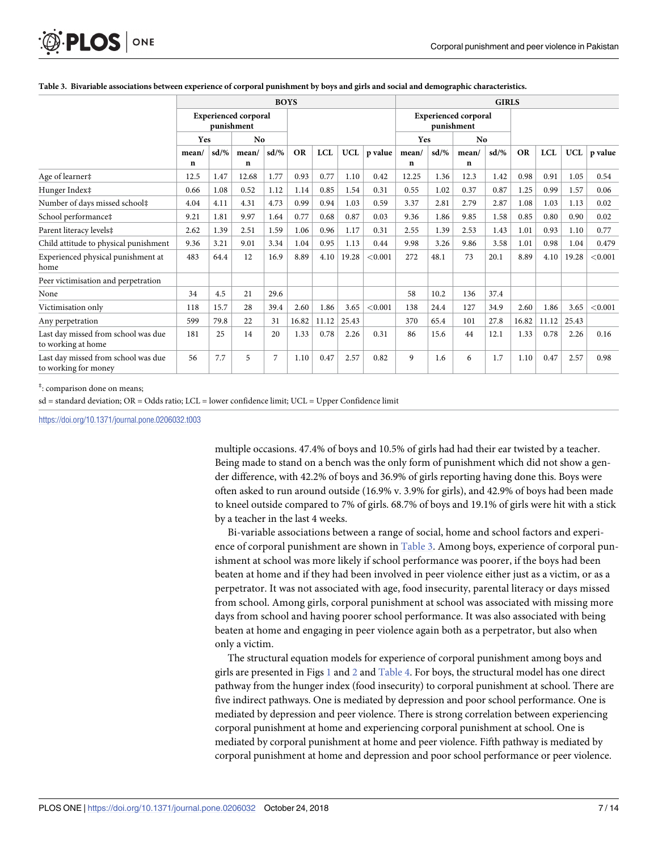|                                                             | <b>BOYS</b>                               |      |            |      |           |            |                                           | <b>GIRLS</b> |            |      |                |      |           |            |            |         |
|-------------------------------------------------------------|-------------------------------------------|------|------------|------|-----------|------------|-------------------------------------------|--------------|------------|------|----------------|------|-----------|------------|------------|---------|
|                                                             | <b>Experienced corporal</b><br>punishment |      |            |      |           |            | <b>Experienced corporal</b><br>punishment |              |            |      |                |      |           |            |            |         |
|                                                             | Yes                                       |      | No.        |      |           |            |                                           |              | Yes        |      | N <sub>0</sub> |      |           |            |            |         |
|                                                             | mean/<br>n                                | sd/% | mean/<br>n | sd/% | <b>OR</b> | <b>LCL</b> | <b>UCL</b>                                | p value      | mean/<br>n | sd/% | mean/<br>n     | sd/% | <b>OR</b> | <b>LCL</b> | <b>UCL</b> | p value |
| Age of learner‡                                             | 12.5                                      | 1.47 | 12.68      | 1.77 | 0.93      | 0.77       | 1.10                                      | 0.42         | 12.25      | 1.36 | 12.3           | 1.42 | 0.98      | 0.91       | 1.05       | 0.54    |
| Hunger Index‡                                               | 0.66                                      | 1.08 | 0.52       | 1.12 | 1.14      | 0.85       | 1.54                                      | 0.31         | 0.55       | 1.02 | 0.37           | 0.87 | 1.25      | 0.99       | 1.57       | 0.06    |
| Number of days missed school‡                               | 4.04                                      | 4.11 | 4.31       | 4.73 | 0.99      | 0.94       | 1.03                                      | 0.59         | 3.37       | 2.81 | 2.79           | 2.87 | 1.08      | 1.03       | 1.13       | 0.02    |
| School performance‡                                         | 9.21                                      | 1.81 | 9.97       | 1.64 | 0.77      | 0.68       | 0.87                                      | 0.03         | 9.36       | 1.86 | 9.85           | 1.58 | 0.85      | 0.80       | 0.90       | 0.02    |
| Parent literacy levels‡                                     | 2.62                                      | 1.39 | 2.51       | 1.59 | 1.06      | 0.96       | 1.17                                      | 0.31         | 2.55       | 1.39 | 2.53           | 1.43 | 1.01      | 0.93       | 1.10       | 0.77    |
| Child attitude to physical punishment                       | 9.36                                      | 3.21 | 9.01       | 3.34 | 1.04      | 0.95       | 1.13                                      | 0.44         | 9.98       | 3.26 | 9.86           | 3.58 | 1.01      | 0.98       | 1.04       | 0.479   |
| Experienced physical punishment at<br>home                  | 483                                       | 64.4 | 12         | 16.9 | 8.89      | 4.10       | 19.28                                     | < 0.001      | 272        | 48.1 | 73             | 20.1 | 8.89      | 4.10       | 19.28      | < 0.001 |
| Peer victimisation and perpetration                         |                                           |      |            |      |           |            |                                           |              |            |      |                |      |           |            |            |         |
| None                                                        | 34                                        | 4.5  | 21         | 29.6 |           |            |                                           |              | 58         | 10.2 | 136            | 37.4 |           |            |            |         |
| Victimisation only                                          | 118                                       | 15.7 | 28         | 39.4 | 2.60      | 1.86       | 3.65                                      | < 0.001      | 138        | 24.4 | 127            | 34.9 | 2.60      | 1.86       | 3.65       | < 0.001 |
| Any perpetration                                            | 599                                       | 79.8 | 22         | 31   | 16.82     | 11.12      | 25.43                                     |              | 370        | 65.4 | 101            | 27.8 | 16.82     | 11.12      | 25.43      |         |
| Last day missed from school was due<br>to working at home   | 181                                       | 25   | 14         | 20   | 1.33      | 0.78       | 2.26                                      | 0.31         | 86         | 15.6 | 44             | 12.1 | 1.33      | 0.78       | 2.26       | 0.16    |
| Last day missed from school was due<br>to working for money | 56                                        | 7.7  | 5          | 7    | 1.10      | 0.47       | 2.57                                      | 0.82         | 9          | 1.6  | 6              | 1.7  | 1.10      | 0.47       | 2.57       | 0.98    |

#### <span id="page-8-0"></span>Table 3. Bivariable associations between experience of corporal punishment by boys and girls and social and demographic characteristics.

‡ : comparison done on means;

sd = standard deviation; OR = Odds ratio; LCL = lower confidence limit; UCL = Upper Confidence limit

<https://doi.org/10.1371/journal.pone.0206032.t003>

multiple occasions. 47.4% of boys and 10.5% of girls had had their ear twisted by a teacher. Being made to stand on a bench was the only form of punishment which did not show a gender difference, with 42.2% of boys and 36.9% of girls reporting having done this. Boys were often asked to run around outside (16.9% v. 3.9% for girls), and 42.9% of boys had been made to kneel outside compared to 7% of girls. 68.7% of boys and 19.1% of girls were hit with a stick by a teacher in the last 4 weeks.

Bi-variable associations between a range of social, home and school factors and experience of corporal punishment are shown in Table 3. Among boys, experience of corporal punishment at school was more likely if school performance was poorer, if the boys had been beaten at home and if they had been involved in peer violence either just as a victim, or as a perpetrator. It was not associated with age, food insecurity, parental literacy or days missed from school. Among girls, corporal punishment at school was associated with missing more days from school and having poorer school performance. It was also associated with being beaten at home and engaging in peer violence again both as a perpetrator, but also when only a victim.

The structural equation models for experience of corporal punishment among boys and girls are presented in Figs [1](#page-9-0) and [2](#page-9-0) and [Table](#page-10-0) 4. For boys, the structural model has one direct pathway from the hunger index (food insecurity) to corporal punishment at school. There are five indirect pathways. One is mediated by depression and poor school performance. One is mediated by depression and peer violence. There is strong correlation between experiencing corporal punishment at home and experiencing corporal punishment at school. One is mediated by corporal punishment at home and peer violence. Fifth pathway is mediated by corporal punishment at home and depression and poor school performance or peer violence.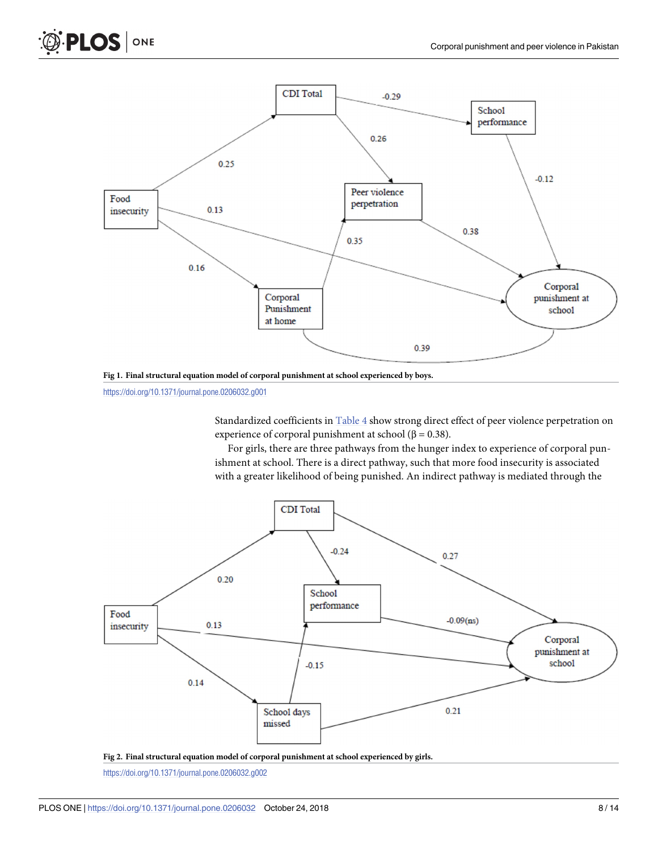<span id="page-9-0"></span>



```
Fig 1. Final structural equation model of corporal punishment at school experienced by boys.
```
<https://doi.org/10.1371/journal.pone.0206032.g001>

Standardized coefficients in [Table](#page-10-0) 4 show strong direct effect of peer violence perpetration on experience of corporal punishment at school ( $\beta$  = 0.38).

For girls, there are three pathways from the hunger index to experience of corporal punishment at school. There is a direct pathway, such that more food insecurity is associated with a greater likelihood of being punished. An indirect pathway is mediated through the





<https://doi.org/10.1371/journal.pone.0206032.g002>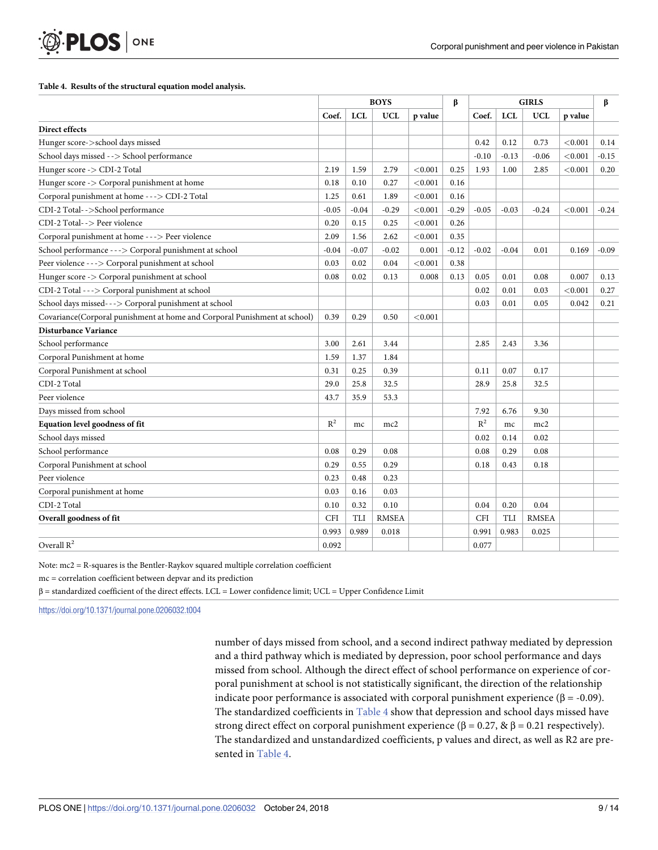#### **[Table](#page-8-0) 4. Results of the structural equation model analysis.**

ONE

<span id="page-10-0"></span>**PLOS** 

|                                                                           | <b>BOYS</b> |            |                 |         |         | <b>GIRLS</b> |            |              |         |         |
|---------------------------------------------------------------------------|-------------|------------|-----------------|---------|---------|--------------|------------|--------------|---------|---------|
|                                                                           | Coef.       | <b>LCL</b> | <b>UCL</b>      | p value |         | Coef.        | <b>LCL</b> | <b>UCL</b>   | p value |         |
| Direct effects                                                            |             |            |                 |         |         |              |            |              |         |         |
| Hunger score->school days missed                                          |             |            |                 |         |         | 0.42         | 0.12       | 0.73         | < 0.001 | 0.14    |
| School days missed --> School performance                                 |             |            |                 |         |         | $-0.10$      | $-0.13$    | $-0.06$      | < 0.001 | $-0.15$ |
| Hunger score -> CDI-2 Total                                               | 2.19        | 1.59       | 2.79            | < 0.001 | 0.25    | 1.93         | 1.00       | 2.85         | < 0.001 | 0.20    |
| Hunger score -> Corporal punishment at home                               | 0.18        | 0.10       | 0.27            | < 0.001 | 0.16    |              |            |              |         |         |
| Corporal punishment at home ---> CDI-2 Total                              | 1.25        | 0.61       | 1.89            | < 0.001 | 0.16    |              |            |              |         |         |
| CDI-2 Total-->School performance                                          | $-0.05$     | $-0.04$    | $-0.29$         | < 0.001 | $-0.29$ | $-0.05$      | $-0.03$    | $-0.24$      | < 0.001 | $-0.24$ |
| CDI-2 Total--> Peer violence                                              | 0.20        | 0.15       | 0.25            | < 0.001 | 0.26    |              |            |              |         |         |
| Corporal punishment at home ---> Peer violence                            | 2.09        | 1.56       | 2.62            | < 0.001 | 0.35    |              |            |              |         |         |
| School performance ---> Corporal punishment at school                     | $-0.04$     | $-0.07$    | $-0.02$         | 0.001   | $-0.12$ | $-0.02$      | $-0.04$    | 0.01         | 0.169   | $-0.09$ |
| Peer violence ---> Corporal punishment at school                          | 0.03        | 0.02       | 0.04            | < 0.001 | 0.38    |              |            |              |         |         |
| Hunger score -> Corporal punishment at school                             | 0.08        | 0.02       | 0.13            | 0.008   | 0.13    | 0.05         | 0.01       | 0.08         | 0.007   | 0.13    |
| CDI-2 Total ---> Corporal punishment at school                            |             |            |                 |         |         | 0.02         | 0.01       | 0.03         | < 0.001 | 0.27    |
| School days missed---> Corporal punishment at school                      |             |            |                 |         |         | 0.03         | 0.01       | 0.05         | 0.042   | 0.21    |
| Covariance(Corporal punishment at home and Corporal Punishment at school) | 0.39        | 0.29       | 0.50            | < 0.001 |         |              |            |              |         |         |
| Disturbance Variance                                                      |             |            |                 |         |         |              |            |              |         |         |
| School performance                                                        | 3.00        | 2.61       | 3.44            |         |         | 2.85         | 2.43       | 3.36         |         |         |
| Corporal Punishment at home                                               | 1.59        | 1.37       | 1.84            |         |         |              |            |              |         |         |
| Corporal Punishment at school                                             | 0.31        | 0.25       | 0.39            |         |         | 0.11         | 0.07       | 0.17         |         |         |
| CDI-2 Total                                                               | 29.0        | 25.8       | 32.5            |         |         | 28.9         | 25.8       | 32.5         |         |         |
| Peer violence                                                             | 43.7        | 35.9       | 53.3            |         |         |              |            |              |         |         |
| Days missed from school                                                   |             |            |                 |         |         | 7.92         | 6.76       | 9.30         |         |         |
| Equation level goodness of fit                                            | $R^2$       | mc         | mc <sub>2</sub> |         |         | $R^2$        | mc         | mc2          |         |         |
| School days missed                                                        |             |            |                 |         |         | 0.02         | 0.14       | 0.02         |         |         |
| School performance                                                        | 0.08        | 0.29       | 0.08            |         |         | 0.08         | 0.29       | 0.08         |         |         |
| Corporal Punishment at school                                             | 0.29        | 0.55       | 0.29            |         |         | 0.18         | 0.43       | 0.18         |         |         |
| Peer violence                                                             | 0.23        | 0.48       | 0.23            |         |         |              |            |              |         |         |
| Corporal punishment at home                                               | 0.03        | 0.16       | 0.03            |         |         |              |            |              |         |         |
| CDI-2 Total                                                               | 0.10        | 0.32       | 0.10            |         |         | 0.04         | 0.20       | 0.04         |         |         |
| Overall goodness of fit                                                   | <b>CFI</b>  | TLI        | <b>RMSEA</b>    |         |         | <b>CFI</b>   | TLI        | <b>RMSEA</b> |         |         |
|                                                                           | 0.993       | 0.989      | 0.018           |         |         | 0.991        | 0.983      | 0.025        |         |         |
| Overall $R^2$                                                             | 0.092       |            |                 |         |         | 0.077        |            |              |         |         |

Note: mc2 = R-squares is the Bentler-Raykov squared multiple correlation coefficient

mc = correlation coefficient between depvar and its prediction

β = standardized coefficient of the direct effects. LCL = Lower confidence limit; UCL = Upper Confidence Limit

<https://doi.org/10.1371/journal.pone.0206032.t004>

number of days missed from school, and a second indirect pathway mediated by depression and a third pathway which is mediated by depression, poor school performance and days missed from school. Although the direct effect of school performance on experience of corporal punishment at school is not statistically significant, the direction of the relationship indicate poor performance is associated with corporal punishment experience ( $\beta$  = -0.09). The standardized coefficients in Table 4 show that depression and school days missed have strong direct effect on corporal punishment experience ( $\beta = 0.27$ , &  $\beta = 0.21$  respectively). The standardized and unstandardized coefficients, p values and direct, as well as R2 are presented in Table 4.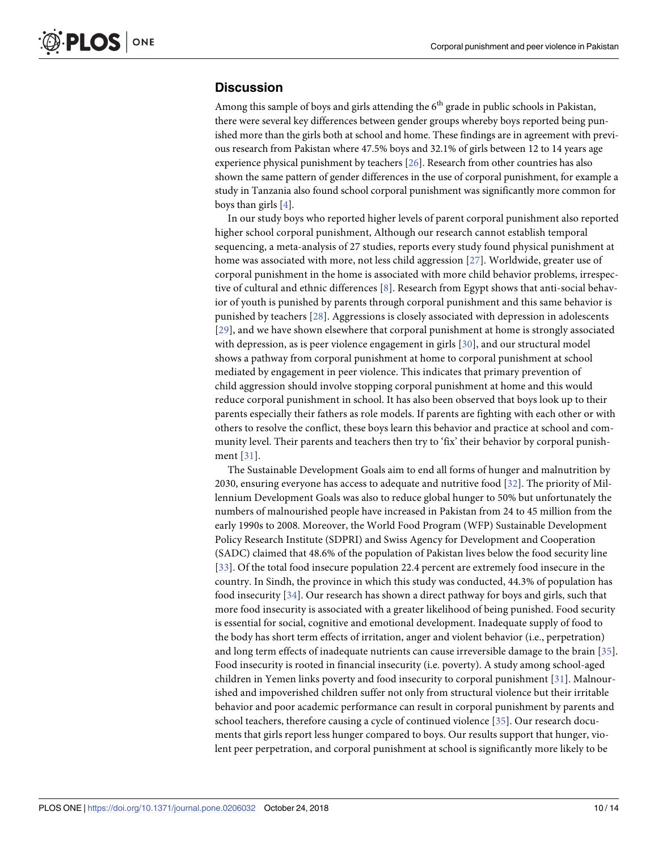### <span id="page-11-0"></span>**Discussion**

Among this sample of boys and girls attending the  $6<sup>th</sup>$  grade in public schools in Pakistan, there were several key differences between gender groups whereby boys reported being punished more than the girls both at school and home. These findings are in agreement with previous research from Pakistan where 47.5% boys and 32.1% of girls between 12 to 14 years age experience physical punishment by teachers [\[26\]](#page-14-0). Research from other countries has also shown the same pattern of gender differences in the use of corporal punishment, for example a study in Tanzania also found school corporal punishment was significantly more common for boys than girls [[4](#page-14-0)].

In our study boys who reported higher levels of parent corporal punishment also reported higher school corporal punishment, Although our research cannot establish temporal sequencing, a meta-analysis of 27 studies, reports every study found physical punishment at home was associated with more, not less child aggression [\[27\]](#page-15-0). Worldwide, greater use of corporal punishment in the home is associated with more child behavior problems, irrespective of cultural and ethnic differences  $[8]$  $[8]$ . Research from Egypt shows that anti-social behavior of youth is punished by parents through corporal punishment and this same behavior is punished by teachers [\[28](#page-15-0)]. Aggressions is closely associated with depression in adolescents [[29](#page-15-0)], and we have shown elsewhere that corporal punishment at home is strongly associated with depression, as is peer violence engagement in girls [[30\]](#page-15-0), and our structural model shows a pathway from corporal punishment at home to corporal punishment at school mediated by engagement in peer violence. This indicates that primary prevention of child aggression should involve stopping corporal punishment at home and this would reduce corporal punishment in school. It has also been observed that boys look up to their parents especially their fathers as role models. If parents are fighting with each other or with others to resolve the conflict, these boys learn this behavior and practice at school and community level. Their parents and teachers then try to 'fix' their behavior by corporal punishment [[31\]](#page-15-0).

The Sustainable Development Goals aim to end all forms of hunger and malnutrition by 2030, ensuring everyone has access to adequate and nutritive food [\[32\]](#page-15-0). The priority of Millennium Development Goals was also to reduce global hunger to 50% but unfortunately the numbers of malnourished people have increased in Pakistan from 24 to 45 million from the early 1990s to 2008. Moreover, the World Food Program (WFP) Sustainable Development Policy Research Institute (SDPRI) and Swiss Agency for Development and Cooperation (SADC) claimed that 48.6% of the population of Pakistan lives below the food security line [\[33](#page-15-0)]. Of the total food insecure population 22.4 percent are extremely food insecure in the country. In Sindh, the province in which this study was conducted, 44.3% of population has food insecurity [[34\]](#page-15-0). Our research has shown a direct pathway for boys and girls, such that more food insecurity is associated with a greater likelihood of being punished. Food security is essential for social, cognitive and emotional development. Inadequate supply of food to the body has short term effects of irritation, anger and violent behavior (i.e., perpetration) and long term effects of inadequate nutrients can cause irreversible damage to the brain [[35](#page-15-0)]. Food insecurity is rooted in financial insecurity (i.e. poverty). A study among school-aged children in Yemen links poverty and food insecurity to corporal punishment [[31\]](#page-15-0). Malnourished and impoverished children suffer not only from structural violence but their irritable behavior and poor academic performance can result in corporal punishment by parents and school teachers, therefore causing a cycle of continued violence [\[35\]](#page-15-0). Our research documents that girls report less hunger compared to boys. Our results support that hunger, violent peer perpetration, and corporal punishment at school is significantly more likely to be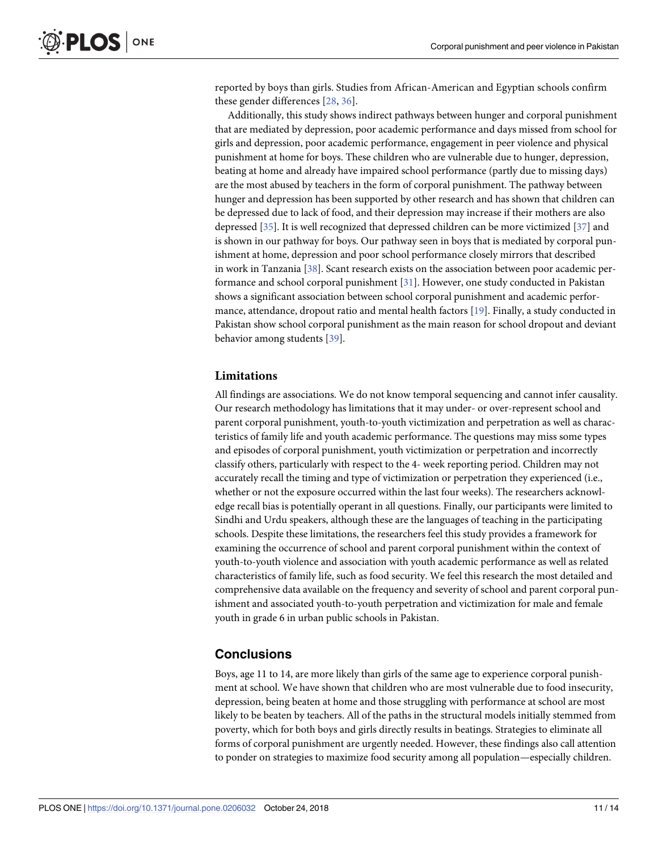<span id="page-12-0"></span>reported by boys than girls. Studies from African-American and Egyptian schools confirm these gender differences [\[28](#page-15-0), [36](#page-15-0)].

Additionally, this study shows indirect pathways between hunger and corporal punishment that are mediated by depression, poor academic performance and days missed from school for girls and depression, poor academic performance, engagement in peer violence and physical punishment at home for boys. These children who are vulnerable due to hunger, depression, beating at home and already have impaired school performance (partly due to missing days) are the most abused by teachers in the form of corporal punishment. The pathway between hunger and depression has been supported by other research and has shown that children can be depressed due to lack of food, and their depression may increase if their mothers are also depressed [[35](#page-15-0)]. It is well recognized that depressed children can be more victimized [[37](#page-15-0)] and is shown in our pathway for boys. Our pathway seen in boys that is mediated by corporal punishment at home, depression and poor school performance closely mirrors that described in work in Tanzania [\[38\]](#page-15-0). Scant research exists on the association between poor academic performance and school corporal punishment [[31](#page-15-0)]. However, one study conducted in Pakistan shows a significant association between school corporal punishment and academic performance, attendance, dropout ratio and mental health factors [\[19\]](#page-14-0). Finally, a study conducted in Pakistan show school corporal punishment as the main reason for school dropout and deviant behavior among students [\[39\]](#page-15-0).

#### **Limitations**

All findings are associations. We do not know temporal sequencing and cannot infer causality. Our research methodology has limitations that it may under- or over-represent school and parent corporal punishment, youth-to-youth victimization and perpetration as well as characteristics of family life and youth academic performance. The questions may miss some types and episodes of corporal punishment, youth victimization or perpetration and incorrectly classify others, particularly with respect to the 4- week reporting period. Children may not accurately recall the timing and type of victimization or perpetration they experienced (i.e., whether or not the exposure occurred within the last four weeks). The researchers acknowledge recall bias is potentially operant in all questions. Finally, our participants were limited to Sindhi and Urdu speakers, although these are the languages of teaching in the participating schools. Despite these limitations, the researchers feel this study provides a framework for examining the occurrence of school and parent corporal punishment within the context of youth-to-youth violence and association with youth academic performance as well as related characteristics of family life, such as food security. We feel this research the most detailed and comprehensive data available on the frequency and severity of school and parent corporal punishment and associated youth-to-youth perpetration and victimization for male and female youth in grade 6 in urban public schools in Pakistan.

### **Conclusions**

Boys, age 11 to 14, are more likely than girls of the same age to experience corporal punishment at school. We have shown that children who are most vulnerable due to food insecurity, depression, being beaten at home and those struggling with performance at school are most likely to be beaten by teachers. All of the paths in the structural models initially stemmed from poverty, which for both boys and girls directly results in beatings. Strategies to eliminate all forms of corporal punishment are urgently needed. However, these findings also call attention to ponder on strategies to maximize food security among all population—especially children.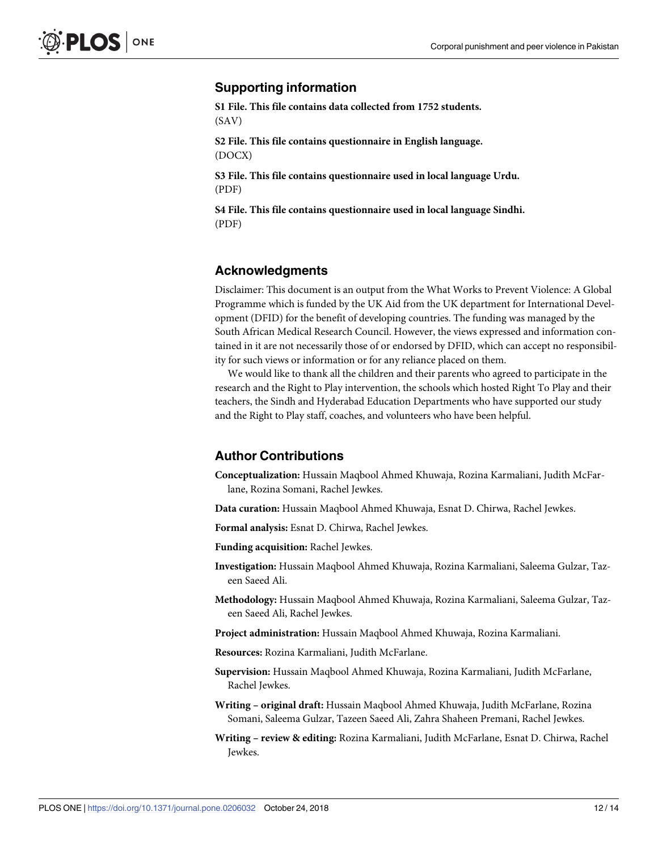### **Supporting information**

**S1 [File.](http://www.plosone.org/article/fetchSingleRepresentation.action?uri=info:doi/10.1371/journal.pone.0206032.s001) This file contains data collected from 1752 students.** (SAV)

**S2 [File.](http://www.plosone.org/article/fetchSingleRepresentation.action?uri=info:doi/10.1371/journal.pone.0206032.s002) This file contains questionnaire in English language.** (DOCX)

**S3 [File.](http://www.plosone.org/article/fetchSingleRepresentation.action?uri=info:doi/10.1371/journal.pone.0206032.s003) This file contains questionnaire used in local language Urdu.** (PDF)

**S4 [File.](http://www.plosone.org/article/fetchSingleRepresentation.action?uri=info:doi/10.1371/journal.pone.0206032.s004) This file contains questionnaire used in local language Sindhi.** (PDF)

#### **Acknowledgments**

Disclaimer: This document is an output from the What Works to Prevent Violence: A Global Programme which is funded by the UK Aid from the UK department for International Development (DFID) for the benefit of developing countries. The funding was managed by the South African Medical Research Council. However, the views expressed and information contained in it are not necessarily those of or endorsed by DFID, which can accept no responsibility for such views or information or for any reliance placed on them.

We would like to thank all the children and their parents who agreed to participate in the research and the Right to Play intervention, the schools which hosted Right To Play and their teachers, the Sindh and Hyderabad Education Departments who have supported our study and the Right to Play staff, coaches, and volunteers who have been helpful.

#### **Author Contributions**

**Conceptualization:** Hussain Maqbool Ahmed Khuwaja, Rozina Karmaliani, Judith McFarlane, Rozina Somani, Rachel Jewkes.

**Data curation:** Hussain Maqbool Ahmed Khuwaja, Esnat D. Chirwa, Rachel Jewkes.

**Formal analysis:** Esnat D. Chirwa, Rachel Jewkes.

**Funding acquisition:** Rachel Jewkes.

**Investigation:** Hussain Maqbool Ahmed Khuwaja, Rozina Karmaliani, Saleema Gulzar, Tazeen Saeed Ali.

**Methodology:** Hussain Maqbool Ahmed Khuwaja, Rozina Karmaliani, Saleema Gulzar, Tazeen Saeed Ali, Rachel Jewkes.

**Project administration:** Hussain Maqbool Ahmed Khuwaja, Rozina Karmaliani.

**Resources:** Rozina Karmaliani, Judith McFarlane.

**Supervision:** Hussain Maqbool Ahmed Khuwaja, Rozina Karmaliani, Judith McFarlane, Rachel Jewkes.

**Writing – original draft:** Hussain Maqbool Ahmed Khuwaja, Judith McFarlane, Rozina Somani, Saleema Gulzar, Tazeen Saeed Ali, Zahra Shaheen Premani, Rachel Jewkes.

**Writing – review & editing:** Rozina Karmaliani, Judith McFarlane, Esnat D. Chirwa, Rachel Jewkes.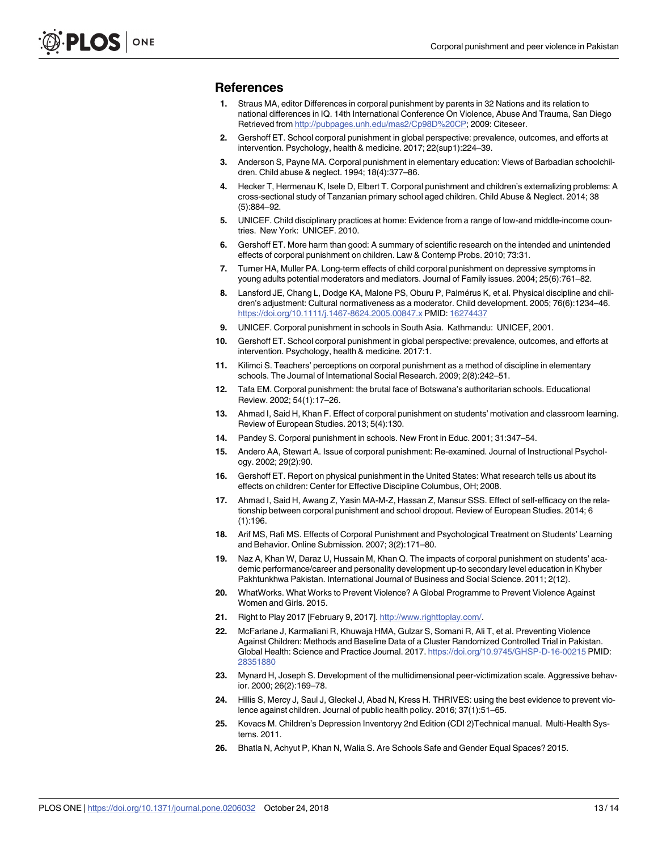#### <span id="page-14-0"></span>**References**

- **[1](#page-2-0).** Straus MA, editor Differences in corporal punishment by parents in 32 Nations and its relation to national differences in IQ. 14th International Conference On Violence, Abuse And Trauma, San Diego Retrieved from <http://pubpages.unh.edu/mas2/Cp98D%20CP>; 2009: Citeseer.
- **[2](#page-3-0).** Gershoff ET. School corporal punishment in global perspective: prevalence, outcomes, and efforts at intervention. Psychology, health & medicine. 2017; 22(sup1):224–39.
- **[3](#page-3-0).** Anderson S, Payne MA. Corporal punishment in elementary education: Views of Barbadian schoolchildren. Child abuse & neglect. 1994; 18(4):377–86.
- **[4](#page-3-0).** Hecker T, Hermenau K, Isele D, Elbert T. Corporal punishment and children's externalizing problems: A cross-sectional study of Tanzanian primary school aged children. Child Abuse & Neglect. 2014; 38 (5):884–92.
- **[5](#page-3-0).** UNICEF. Child disciplinary practices at home: Evidence from a range of low-and middle-income countries. New York: UNICEF. 2010.
- **[6](#page-3-0).** Gershoff ET. More harm than good: A summary of scientific research on the intended and unintended effects of corporal punishment on children. Law & Contemp Probs. 2010; 73:31.
- **[7](#page-3-0).** Turner HA, Muller PA. Long-term effects of child corporal punishment on depressive symptoms in young adults potential moderators and mediators. Journal of Family issues. 2004; 25(6):761–82.
- [8](#page-3-0). Lansford JE, Chang L, Dodge KA, Malone PS, Oburu P, Palmérus K, et al. Physical discipline and children's adjustment: Cultural normativeness as a moderator. Child development. 2005; 76(6):1234–46. <https://doi.org/10.1111/j.1467-8624.2005.00847.x> PMID: [16274437](http://www.ncbi.nlm.nih.gov/pubmed/16274437)
- **[9](#page-3-0).** UNICEF. Corporal punishment in schools in South Asia. Kathmandu: UNICEF, 2001.
- **[10](#page-3-0).** Gershoff ET. School corporal punishment in global perspective: prevalence, outcomes, and efforts at intervention. Psychology, health & medicine. 2017:1.
- **[11](#page-3-0).** Kilimci S. Teachers' perceptions on corporal punishment as a method of discipline in elementary schools. The Journal of International Social Research. 2009; 2(8):242–51.
- **[12](#page-3-0).** Tafa EM. Corporal punishment: the brutal face of Botswana's authoritarian schools. Educational Review. 2002; 54(1):17–26.
- **[13](#page-3-0).** Ahmad I, Said H, Khan F. Effect of corporal punishment on students' motivation and classroom learning. Review of European Studies. 2013; 5(4):130.
- **[14](#page-3-0).** Pandey S. Corporal punishment in schools. New Front in Educ. 2001; 31:347–54.
- **[15](#page-3-0).** Andero AA, Stewart A. Issue of corporal punishment: Re-examined. Journal of Instructional Psychology. 2002; 29(2):90.
- **[16](#page-3-0).** Gershoff ET. Report on physical punishment in the United States: What research tells us about its effects on children: Center for Effective Discipline Columbus, OH; 2008.
- **[17](#page-4-0).** Ahmad I, Said H, Awang Z, Yasin MA-M-Z, Hassan Z, Mansur SSS. Effect of self-efficacy on the relationship between corporal punishment and school dropout. Review of European Studies. 2014; 6 (1):196.
- **[18](#page-4-0).** Arif MS, Rafi MS. Effects of Corporal Punishment and Psychological Treatment on Students' Learning and Behavior. Online Submission. 2007; 3(2):171–80.
- **[19](#page-4-0).** Naz A, Khan W, Daraz U, Hussain M, Khan Q. The impacts of corporal punishment on students' academic performance/career and personality development up-to secondary level education in Khyber Pakhtunkhwa Pakistan. International Journal of Business and Social Science. 2011; 2(12).
- **[20](#page-4-0).** WhatWorks. What Works to Prevent Violence? A Global Programme to Prevent Violence Against Women and Girls. 2015.
- **[21](#page-4-0).** Right to Play 2017 [February 9, 2017]. <http://www.righttoplay.com/>.
- **[22](#page-4-0).** McFarlane J, Karmaliani R, Khuwaja HMA, Gulzar S, Somani R, Ali T, et al. Preventing Violence Against Children: Methods and Baseline Data of a Cluster Randomized Controlled Trial in Pakistan. Global Health: Science and Practice Journal. 2017. <https://doi.org/10.9745/GHSP-D-16-00215> PMID: [28351880](http://www.ncbi.nlm.nih.gov/pubmed/28351880)
- **[23](#page-5-0).** Mynard H, Joseph S. Development of the multidimensional peer-victimization scale. Aggressive behavior. 2000; 26(2):169–78.
- **[24](#page-5-0).** Hillis S, Mercy J, Saul J, Gleckel J, Abad N, Kress H. THRIVES: using the best evidence to prevent violence against children. Journal of public health policy. 2016; 37(1):51–65.
- **[25](#page-5-0).** Kovacs M. Children's Depression Inventoryy 2nd Edition (CDI 2)Technical manual. Multi-Health Systems. 2011.
- **[26](#page-11-0).** Bhatla N, Achyut P, Khan N, Walia S. Are Schools Safe and Gender Equal Spaces? 2015.